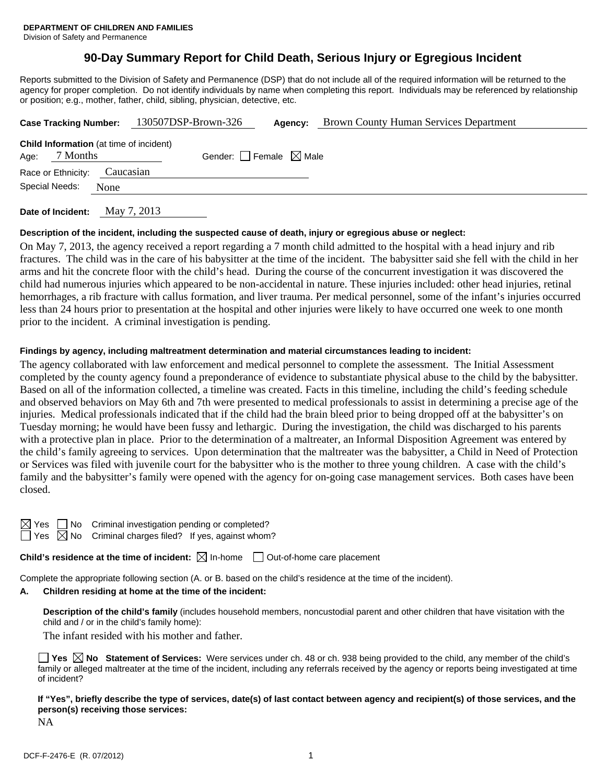# **90-Day Summary Report for Child Death, Serious Injury or Egregious Incident**

Reports submitted to the Division of Safety and Permanence (DSP) that do not include all of the required information will be returned to the agency for proper completion. Do not identify individuals by name when completing this report. Individuals may be referenced by relationship or position; e.g., mother, father, child, sibling, physician, detective, etc.

| <b>Case Tracking Number:</b>                                       |           | 130507DSP-Brown-326             | Agency: | <b>Brown County Human Services Department</b> |
|--------------------------------------------------------------------|-----------|---------------------------------|---------|-----------------------------------------------|
| <b>Child Information</b> (at time of incident)<br>7 Months<br>Age: |           | Gender: Female $\boxtimes$ Male |         |                                               |
| Race or Ethnicity:                                                 | Caucasian |                                 |         |                                               |
| Special Needs:                                                     | None      |                                 |         |                                               |
|                                                                    |           |                                 |         |                                               |

**Date of Incident:** May 7, 2013

## **Description of the incident, including the suspected cause of death, injury or egregious abuse or neglect:**

On May 7, 2013, the agency received a report regarding a 7 month child admitted to the hospital with a head injury and rib fractures. The child was in the care of his babysitter at the time of the incident. The babysitter said she fell with the child in her arms and hit the concrete floor with the child's head. During the course of the concurrent investigation it was discovered the child had numerous injuries which appeared to be non-accidental in nature. These injuries included: other head injuries, retinal hemorrhages, a rib fracture with callus formation, and liver trauma. Per medical personnel, some of the infant's injuries occurred less than 24 hours prior to presentation at the hospital and other injuries were likely to have occurred one week to one month prior to the incident. A criminal investigation is pending.

## **Findings by agency, including maltreatment determination and material circumstances leading to incident:**

The agency collaborated with law enforcement and medical personnel to complete the assessment. The Initial Assessment completed by the county agency found a preponderance of evidence to substantiate physical abuse to the child by the babysitter. Based on all of the information collected, a timeline was created. Facts in this timeline, including the child's feeding schedule and observed behaviors on May 6th and 7th were presented to medical professionals to assist in determining a precise age of the injuries. Medical professionals indicated that if the child had the brain bleed prior to being dropped off at the babysitter's on Tuesday morning; he would have been fussy and lethargic. During the investigation, the child was discharged to his parents with a protective plan in place. Prior to the determination of a maltreater, an Informal Disposition Agreement was entered by the child's family agreeing to services. Upon determination that the maltreater was the babysitter, a Child in Need of Protection or Services was filed with juvenile court for the babysitter who is the mother to three young children. A case with the child's family and the babysitter's family were opened with the agency for on-going case management services. Both cases have been closed.

| ⊵ | Y<br>еs |  |
|---|---------|--|
|   | ÷       |  |

No Criminal investigation pending or completed?  $\Box$  Yes  $\boxtimes$  No Criminal charges filed? If yes, against whom?

**Child's residence at the time of incident:**  $\boxtimes$  In-home  $\Box$  Out-of-home care placement

Complete the appropriate following section (A. or B. based on the child's residence at the time of the incident).

## **A. Children residing at home at the time of the incident:**

**Description of the child's family** (includes household members, noncustodial parent and other children that have visitation with the child and / or in the child's family home):

The infant resided with his mother and father.

|              |  |  |  |  |  | $\Box$ Yes $\boxtimes$ No Statement of Services: Were services under ch. 48 or ch. 938 being provided to the child, any member of the child's  |
|--------------|--|--|--|--|--|------------------------------------------------------------------------------------------------------------------------------------------------|
|              |  |  |  |  |  | family or alleged maltreater at the time of the incident, including any referrals received by the agency or reports being investigated at time |
| of incident? |  |  |  |  |  |                                                                                                                                                |

**If "Yes", briefly describe the type of services, date(s) of last contact between agency and recipient(s) of those services, and the person(s) receiving those services:** 

NA